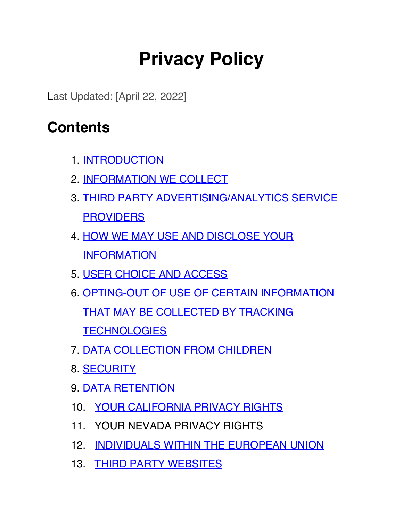# **Privacy Policy**

Last Updated: [April 22, 2022]

### **Contents**

- 1. INTRODUCTION
- 2. INFORMATION WE COLLECT
- 3. THIRD PARTY ADVERTISING/ANALYTICS SERVICE **PROVIDERS**
- 4. HOW WE MAY USE AND DISCLOSE YOUR INFORMATION
- 5. USER CHOICE AND ACCESS
- 6. OPTING-OUT OF USE OF CERTAIN INFORMATION THAT MAY BE COLLECTED BY TRACKING **TECHNOLOGIES**
- 7. DATA COLLECTION FROM CHILDREN
- 8. SECURITY
- 9. DATA RETENTION
- 10. YOUR CALIFORNIA PRIVACY RIGHTS
- 11. YOUR NEVADA PRIVACY RIGHTS
- 12. INDIVIDUALS WITHIN THE EUROPEAN UNION
- 13. THIRD PARTY WEBSITES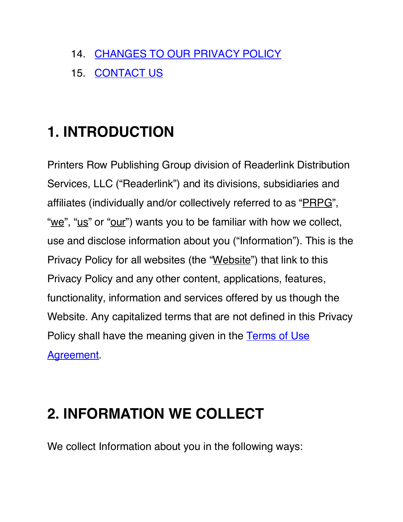- 14. CHANGES TO OUR PRIVACY POLICY
- 15. CONTACT US

## **1. INTRODUCTION**

Printers Row Publishing Group division of Readerlink Distribution Services, LLC ("Readerlink") and its divisions, subsidiaries and affiliates (individually and/or collectively referred to as "PRPG", "we", "us" or "our") wants you to be familiar with how we collect, use and disclose information about you ("Information"). This is the Privacy Policy for all websites (the "Website") that link to this Privacy Policy and any other content, applications, features, functionality, information and services offered by us though the Website. Any capitalized terms that are not defined in this Privacy Policy shall have the meaning given in the Terms of Use Agreement.

### **2. INFORMATION WE COLLECT**

We collect Information about you in the following ways: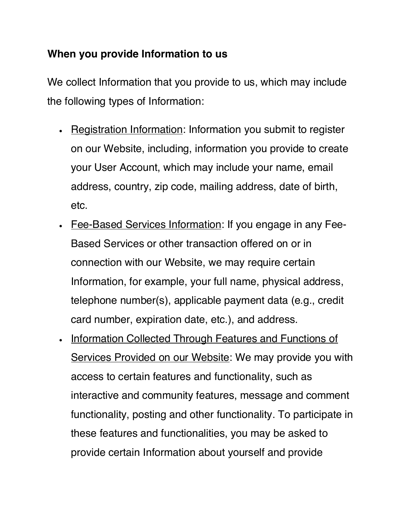#### **When you provide Information to us**

We collect Information that you provide to us, which may include the following types of Information:

- Registration Information: Information you submit to register on our Website, including, information you provide to create your User Account, which may include your name, email address, country, zip code, mailing address, date of birth, etc.
- Fee-Based Services Information: If you engage in any Fee-Based Services or other transaction offered on or in connection with our Website, we may require certain Information, for example, your full name, physical address, telephone number(s), applicable payment data (e.g., credit card number, expiration date, etc.), and address.
- Information Collected Through Features and Functions of Services Provided on our Website: We may provide you with access to certain features and functionality, such as interactive and community features, message and comment functionality, posting and other functionality. To participate in these features and functionalities, you may be asked to provide certain Information about yourself and provide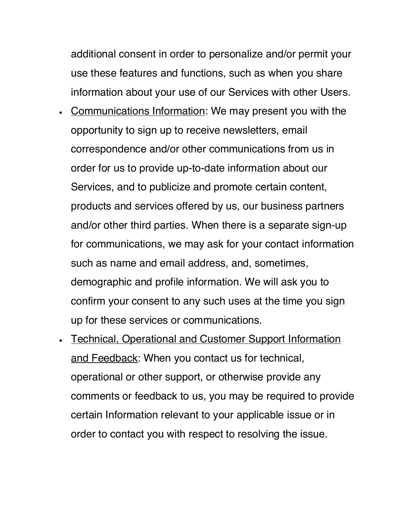additional consent in order to personalize and/or permit your use these features and functions, such as when you share information about your use of our Services with other Users.

- Communications Information: We may present you with the opportunity to sign up to receive newsletters, email correspondence and/or other communications from us in order for us to provide up-to-date information about our Services, and to publicize and promote certain content, products and services offered by us, our business partners and/or other third parties. When there is a separate sign-up for communications, we may ask for your contact information such as name and email address, and, sometimes, demographic and profile information. We will ask you to confirm your consent to any such uses at the time you sign up for these services or communications.
- Technical, Operational and Customer Support Information and Feedback: When you contact us for technical, operational or other support, or otherwise provide any comments or feedback to us, you may be required to provide certain Information relevant to your applicable issue or in order to contact you with respect to resolving the issue.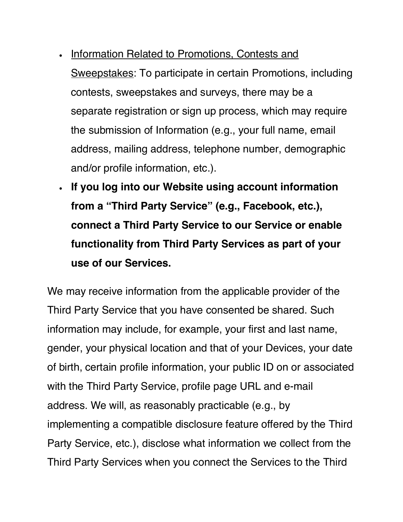- Information Related to Promotions, Contests and Sweepstakes: To participate in certain Promotions, including contests, sweepstakes and surveys, there may be a separate registration or sign up process, which may require the submission of Information (e.g., your full name, email address, mailing address, telephone number, demographic and/or profile information, etc.).
- **If you log into our Website using account information from a "Third Party Service" (e.g., Facebook, etc.), connect a Third Party Service to our Service or enable functionality from Third Party Services as part of your use of our Services.**

We may receive information from the applicable provider of the Third Party Service that you have consented be shared. Such information may include, for example, your first and last name, gender, your physical location and that of your Devices, your date of birth, certain profile information, your public ID on or associated with the Third Party Service, profile page URL and e-mail address. We will, as reasonably practicable (e.g., by implementing a compatible disclosure feature offered by the Third Party Service, etc.), disclose what information we collect from the Third Party Services when you connect the Services to the Third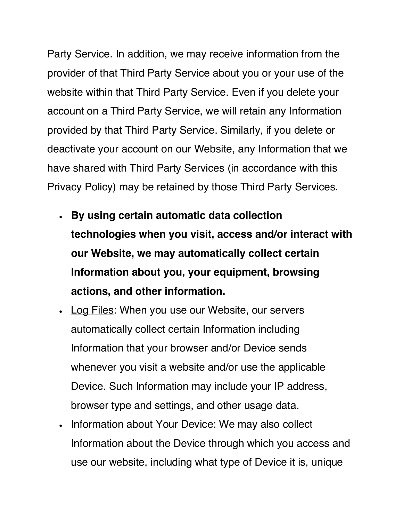Party Service. In addition, we may receive information from the provider of that Third Party Service about you or your use of the website within that Third Party Service. Even if you delete your account on a Third Party Service, we will retain any Information provided by that Third Party Service. Similarly, if you delete or deactivate your account on our Website, any Information that we have shared with Third Party Services (in accordance with this Privacy Policy) may be retained by those Third Party Services.

- **By using certain automatic data collection technologies when you visit, access and/or interact with our Website, we may automatically collect certain Information about you, your equipment, browsing actions, and other information.**
- Log Files: When you use our Website, our servers automatically collect certain Information including Information that your browser and/or Device sends whenever you visit a website and/or use the applicable Device. Such Information may include your IP address, browser type and settings, and other usage data.
- Information about Your Device: We may also collect Information about the Device through which you access and use our website, including what type of Device it is, unique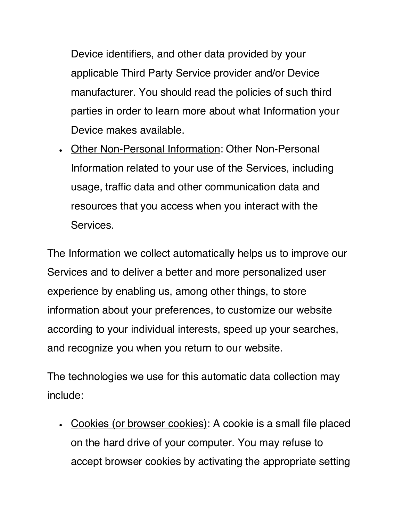Device identifiers, and other data provided by your applicable Third Party Service provider and/or Device manufacturer. You should read the policies of such third parties in order to learn more about what Information your Device makes available.

• Other Non-Personal Information: Other Non-Personal Information related to your use of the Services, including usage, traffic data and other communication data and resources that you access when you interact with the Services.

The Information we collect automatically helps us to improve our Services and to deliver a better and more personalized user experience by enabling us, among other things, to store information about your preferences, to customize our website according to your individual interests, speed up your searches, and recognize you when you return to our website.

The technologies we use for this automatic data collection may include:

• Cookies (or browser cookies): A cookie is a small file placed on the hard drive of your computer. You may refuse to accept browser cookies by activating the appropriate setting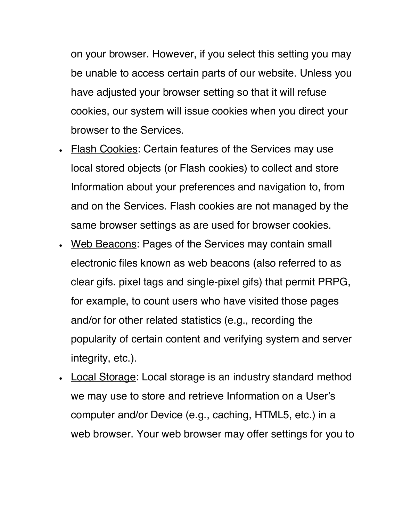on your browser. However, if you select this setting you may be unable to access certain parts of our website. Unless you have adjusted your browser setting so that it will refuse cookies, our system will issue cookies when you direct your browser to the Services.

- Flash Cookies: Certain features of the Services may use local stored objects (or Flash cookies) to collect and store Information about your preferences and navigation to, from and on the Services. Flash cookies are not managed by the same browser settings as are used for browser cookies.
- Web Beacons: Pages of the Services may contain small electronic files known as web beacons (also referred to as clear gifs. pixel tags and single-pixel gifs) that permit PRPG, for example, to count users who have visited those pages and/or for other related statistics (e.g., recording the popularity of certain content and verifying system and server integrity, etc.).
- **Local Storage: Local storage is an industry standard method** we may use to store and retrieve Information on a User's computer and/or Device (e.g., caching, HTML5, etc.) in a web browser. Your web browser may offer settings for you to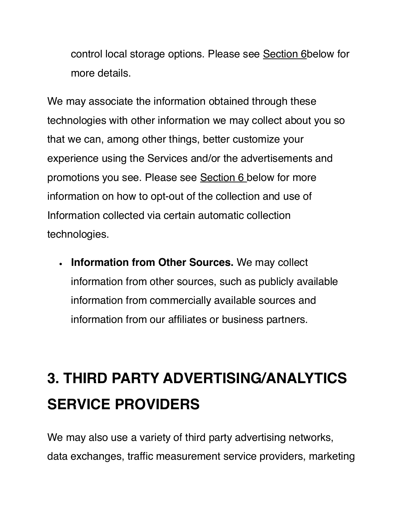control local storage options. Please see Section 6below for more details.

We may associate the information obtained through these technologies with other information we may collect about you so that we can, among other things, better customize your experience using the Services and/or the advertisements and promotions you see. Please see Section 6 below for more information on how to opt-out of the collection and use of Information collected via certain automatic collection technologies.

• **Information from Other Sources.** We may collect information from other sources, such as publicly available information from commercially available sources and information from our affiliates or business partners.

## **3. THIRD PARTY ADVERTISING/ANALYTICS SERVICE PROVIDERS**

We may also use a variety of third party advertising networks, data exchanges, traffic measurement service providers, marketing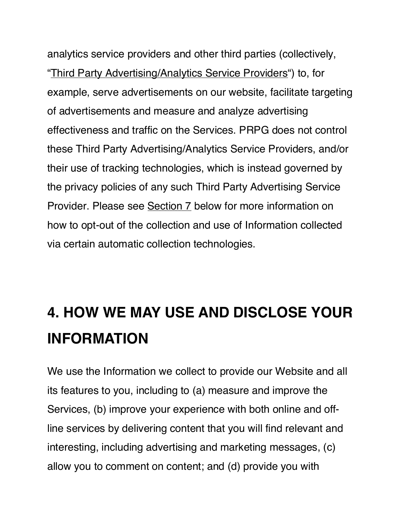analytics service providers and other third parties (collectively, "Third Party Advertising/Analytics Service Providers") to, for example, serve advertisements on our website, facilitate targeting of advertisements and measure and analyze advertising effectiveness and traffic on the Services. PRPG does not control these Third Party Advertising/Analytics Service Providers, and/or their use of tracking technologies, which is instead governed by the privacy policies of any such Third Party Advertising Service Provider. Please see Section 7 below for more information on how to opt-out of the collection and use of Information collected via certain automatic collection technologies.

## **4. HOW WE MAY USE AND DISCLOSE YOUR INFORMATION**

We use the Information we collect to provide our Website and all its features to you, including to (a) measure and improve the Services, (b) improve your experience with both online and offline services by delivering content that you will find relevant and interesting, including advertising and marketing messages, (c) allow you to comment on content; and (d) provide you with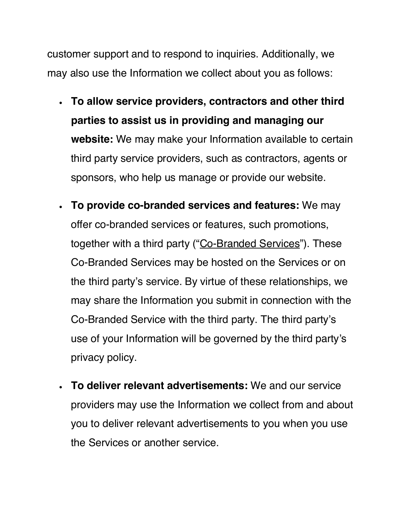customer support and to respond to inquiries. Additionally, we may also use the Information we collect about you as follows:

- **To allow service providers, contractors and other third parties to assist us in providing and managing our website:** We may make your Information available to certain third party service providers, such as contractors, agents or sponsors, who help us manage or provide our website.
- **To provide co-branded services and features:** We may offer co-branded services or features, such promotions, together with a third party ("Co-Branded Services"). These Co-Branded Services may be hosted on the Services or on the third party's service. By virtue of these relationships, we may share the Information you submit in connection with the Co-Branded Service with the third party. The third party's use of your Information will be governed by the third party's privacy policy.
- **To deliver relevant advertisements:** We and our service providers may use the Information we collect from and about you to deliver relevant advertisements to you when you use the Services or another service.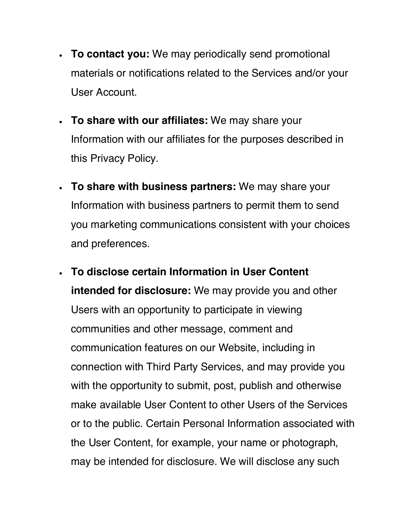- **To contact you:** We may periodically send promotional materials or notifications related to the Services and/or your User Account.
- **To share with our affiliates:** We may share your Information with our affiliates for the purposes described in this Privacy Policy.
- **To share with business partners:** We may share your Information with business partners to permit them to send you marketing communications consistent with your choices and preferences.
- **To disclose certain Information in User Content intended for disclosure:** We may provide you and other Users with an opportunity to participate in viewing communities and other message, comment and communication features on our Website, including in connection with Third Party Services, and may provide you with the opportunity to submit, post, publish and otherwise make available User Content to other Users of the Services or to the public. Certain Personal Information associated with the User Content, for example, your name or photograph, may be intended for disclosure. We will disclose any such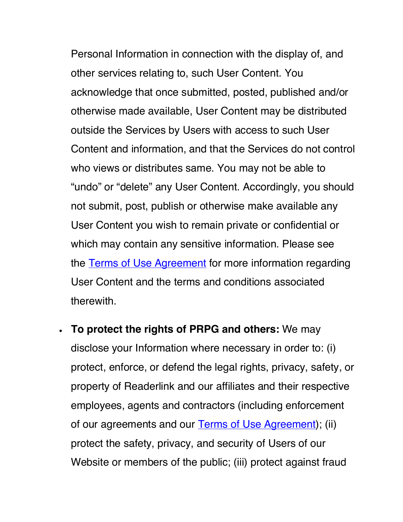Personal Information in connection with the display of, and other services relating to, such User Content. You acknowledge that once submitted, posted, published and/or otherwise made available, User Content may be distributed outside the Services by Users with access to such User Content and information, and that the Services do not control who views or distributes same. You may not be able to "undo" or "delete" any User Content. Accordingly, you should not submit, post, publish or otherwise make available any User Content you wish to remain private or confidential or which may contain any sensitive information. Please see the **Terms of Use Agreement** for more information regarding User Content and the terms and conditions associated therewith.

• **To protect the rights of PRPG and others:** We may disclose your Information where necessary in order to: (i) protect, enforce, or defend the legal rights, privacy, safety, or property of Readerlink and our affiliates and their respective employees, agents and contractors (including enforcement of our agreements and our Terms of Use Agreement); (ii) protect the safety, privacy, and security of Users of our Website or members of the public; (iii) protect against fraud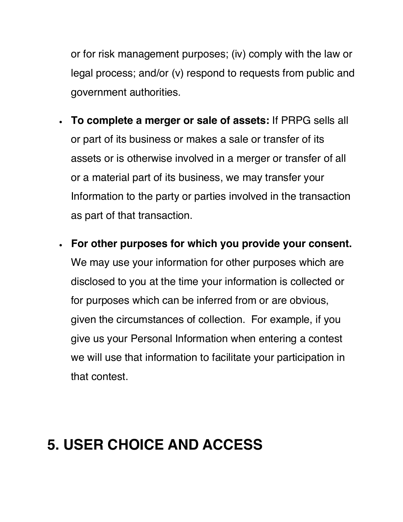or for risk management purposes; (iv) comply with the law or legal process; and/or (v) respond to requests from public and government authorities.

- **To complete a merger or sale of assets:** If PRPG sells all or part of its business or makes a sale or transfer of its assets or is otherwise involved in a merger or transfer of all or a material part of its business, we may transfer your Information to the party or parties involved in the transaction as part of that transaction.
- **For other purposes for which you provide your consent.** We may use your information for other purposes which are disclosed to you at the time your information is collected or for purposes which can be inferred from or are obvious, given the circumstances of collection. For example, if you give us your Personal Information when entering a contest we will use that information to facilitate your participation in that contest.

### **5. USER CHOICE AND ACCESS**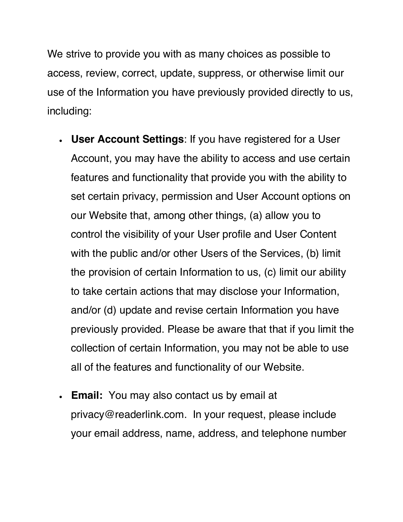We strive to provide you with as many choices as possible to access, review, correct, update, suppress, or otherwise limit our use of the Information you have previously provided directly to us, including:

- **User Account Settings**: If you have registered for a User Account, you may have the ability to access and use certain features and functionality that provide you with the ability to set certain privacy, permission and User Account options on our Website that, among other things, (a) allow you to control the visibility of your User profile and User Content with the public and/or other Users of the Services, (b) limit the provision of certain Information to us, (c) limit our ability to take certain actions that may disclose your Information, and/or (d) update and revise certain Information you have previously provided. Please be aware that that if you limit the collection of certain Information, you may not be able to use all of the features and functionality of our Website.
- **Email:** You may also contact us by email at privacy@readerlink.com. In your request, please include your email address, name, address, and telephone number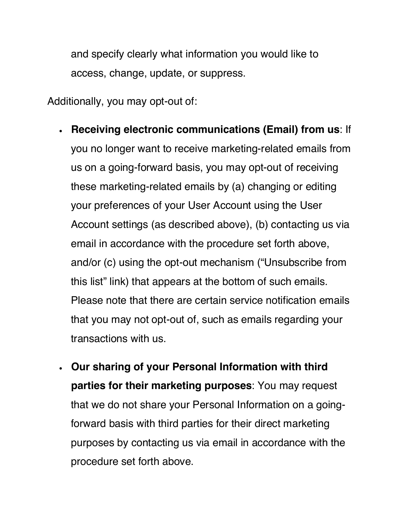and specify clearly what information you would like to access, change, update, or suppress.

Additionally, you may opt-out of:

- **Receiving electronic communications (Email) from us**: If you no longer want to receive marketing-related emails from us on a going-forward basis, you may opt-out of receiving these marketing-related emails by (a) changing or editing your preferences of your User Account using the User Account settings (as described above), (b) contacting us via email in accordance with the procedure set forth above, and/or (c) using the opt-out mechanism ("Unsubscribe from this list" link) that appears at the bottom of such emails. Please note that there are certain service notification emails that you may not opt-out of, such as emails regarding your transactions with us.
- **Our sharing of your Personal Information with third parties for their marketing purposes**: You may request that we do not share your Personal Information on a goingforward basis with third parties for their direct marketing purposes by contacting us via email in accordance with the procedure set forth above.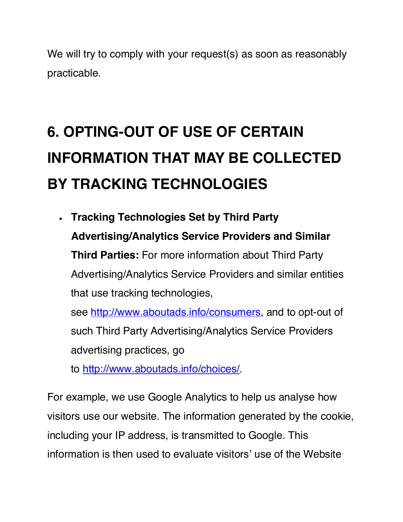We will try to comply with your request(s) as soon as reasonably practicable.

# **6. OPTING-OUT OF USE OF CERTAIN INFORMATION THAT MAY BE COLLECTED BY TRACKING TECHNOLOGIES**

• **Tracking Technologies Set by Third Party Advertising/Analytics Service Providers and Similar Third Parties:** For more information about Third Party Advertising/Analytics Service Providers and similar entities that use tracking technologies, see http://www.aboutads.info/consumers, and to opt-out of such Third Party Advertising/Analytics Service Providers

advertising practices, go

to http://www.aboutads.info/choices/.

For example, we use Google Analytics to help us analyse how visitors use our website. The information generated by the cookie, including your IP address, is transmitted to Google. This information is then used to evaluate visitors' use of the Website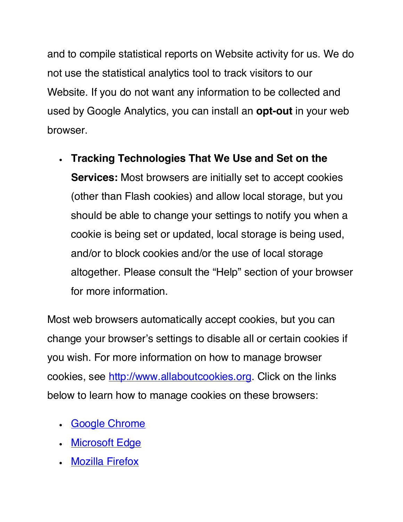and to compile statistical reports on Website activity for us. We do not use the statistical analytics tool to track visitors to our Website. If you do not want any information to be collected and used by Google Analytics, you can install an **opt-out** in your web browser.

• **Tracking Technologies That We Use and Set on the Services:** Most browsers are initially set to accept cookies (other than Flash cookies) and allow local storage, but you should be able to change your settings to notify you when a cookie is being set or updated, local storage is being used, and/or to block cookies and/or the use of local storage altogether. Please consult the "Help" section of your browser for more information.

Most web browsers automatically accept cookies, but you can change your browser's settings to disable all or certain cookies if you wish. For more information on how to manage browser cookies, see http://www.allaboutcookies.org. Click on the links below to learn how to manage cookies on these browsers:

- Google Chrome
- Microsoft Edge
- Mozilla Firefox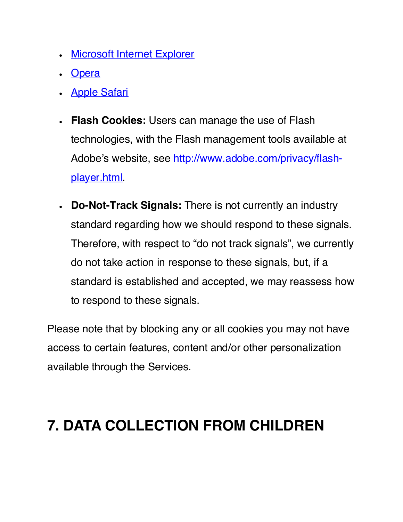- **Microsoft Internet Explorer**
- Opera
- Apple Safari
- **Flash Cookies:** Users can manage the use of Flash technologies, with the Flash management tools available at Adobe's website, see http://www.adobe.com/privacy/flashplayer.html.
- **Do-Not-Track Signals:** There is not currently an industry standard regarding how we should respond to these signals. Therefore, with respect to "do not track signals", we currently do not take action in response to these signals, but, if a standard is established and accepted, we may reassess how to respond to these signals.

Please note that by blocking any or all cookies you may not have access to certain features, content and/or other personalization available through the Services.

### **7. DATA COLLECTION FROM CHILDREN**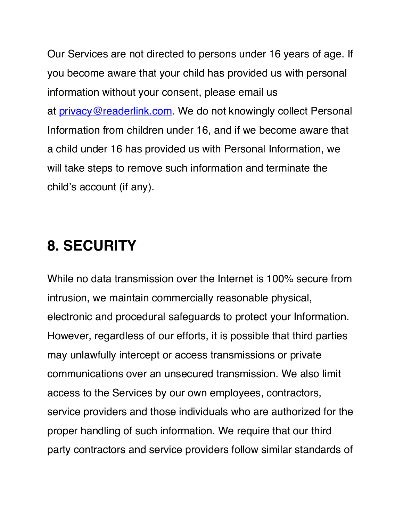Our Services are not directed to persons under 16 years of age. If you become aware that your child has provided us with personal information without your consent, please email us at privacy@readerlink.com. We do not knowingly collect Personal Information from children under 16, and if we become aware that a child under 16 has provided us with Personal Information, we will take steps to remove such information and terminate the child's account (if any).

#### **8. SECURITY**

While no data transmission over the Internet is 100% secure from intrusion, we maintain commercially reasonable physical, electronic and procedural safeguards to protect your Information. However, regardless of our efforts, it is possible that third parties may unlawfully intercept or access transmissions or private communications over an unsecured transmission. We also limit access to the Services by our own employees, contractors, service providers and those individuals who are authorized for the proper handling of such information. We require that our third party contractors and service providers follow similar standards of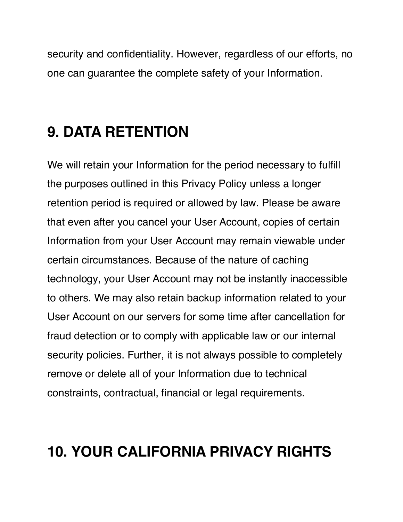security and confidentiality. However, regardless of our efforts, no one can guarantee the complete safety of your Information.

### **9. DATA RETENTION**

We will retain your Information for the period necessary to fulfill the purposes outlined in this Privacy Policy unless a longer retention period is required or allowed by law. Please be aware that even after you cancel your User Account, copies of certain Information from your User Account may remain viewable under certain circumstances. Because of the nature of caching technology, your User Account may not be instantly inaccessible to others. We may also retain backup information related to your User Account on our servers for some time after cancellation for fraud detection or to comply with applicable law or our internal security policies. Further, it is not always possible to completely remove or delete all of your Information due to technical constraints, contractual, financial or legal requirements.

### **10. YOUR CALIFORNIA PRIVACY RIGHTS**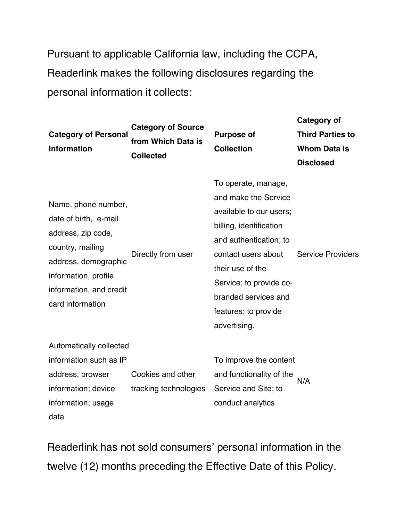Pursuant to applicable California law, including the CCPA, Readerlink makes the following disclosures regarding the personal information it collects:

| <b>Category of Personal</b><br><b>Information</b>                                                                                                                                     | <b>Category of Source</b><br>from Which Data is<br><b>Collected</b> | <b>Purpose of</b><br><b>Collection</b>                                                                                                                                                                                                                            | Category of<br><b>Third Parties to</b><br><b>Whom Data is</b><br><b>Disclosed</b> |
|---------------------------------------------------------------------------------------------------------------------------------------------------------------------------------------|---------------------------------------------------------------------|-------------------------------------------------------------------------------------------------------------------------------------------------------------------------------------------------------------------------------------------------------------------|-----------------------------------------------------------------------------------|
| Name, phone number,<br>date of birth, e-mail<br>address, zip code,<br>country, mailing<br>address, demographic<br>information, profile<br>information, and credit<br>card information | Directly from user                                                  | To operate, manage,<br>and make the Service<br>available to our users;<br>billing, identification<br>and authentication; to<br>contact users about<br>their use of the<br>Service; to provide co-<br>branded services and<br>features; to provide<br>advertising. | <b>Service Providers</b>                                                          |
| Automatically collected<br>information such as IP<br>address, browser<br>information; device<br>information; usage<br>data                                                            | Cookies and other<br>tracking technologies                          | To improve the content<br>and functionality of the<br>Service and Site; to<br>conduct analytics                                                                                                                                                                   | N/A                                                                               |

Readerlink has not sold consumers' personal information in the twelve (12) months preceding the Effective Date of this Policy.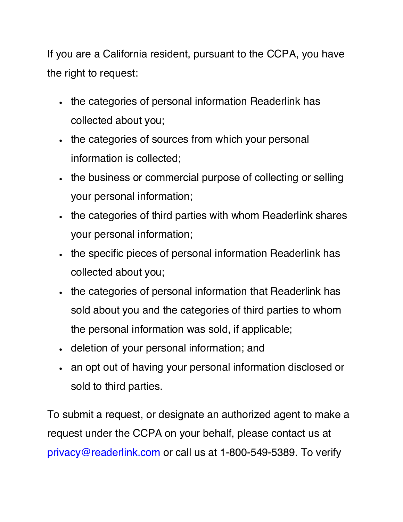If you are a California resident, pursuant to the CCPA, you have the right to request:

- the categories of personal information Readerlink has collected about you;
- the categories of sources from which your personal information is collected;
- the business or commercial purpose of collecting or selling your personal information;
- the categories of third parties with whom Readerlink shares your personal information;
- the specific pieces of personal information Readerlink has collected about you;
- the categories of personal information that Readerlink has sold about you and the categories of third parties to whom the personal information was sold, if applicable;
- deletion of your personal information; and
- an opt out of having your personal information disclosed or sold to third parties.

To submit a request, or designate an authorized agent to make a request under the CCPA on your behalf, please contact us at privacy@readerlink.com or call us at 1-800-549-5389. To verify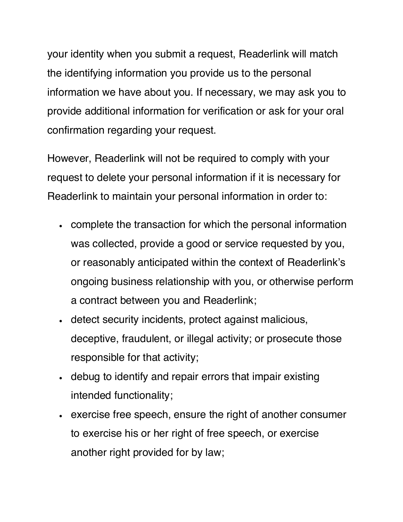your identity when you submit a request, Readerlink will match the identifying information you provide us to the personal information we have about you. If necessary, we may ask you to provide additional information for verification or ask for your oral confirmation regarding your request.

However, Readerlink will not be required to comply with your request to delete your personal information if it is necessary for Readerlink to maintain your personal information in order to:

- complete the transaction for which the personal information was collected, provide a good or service requested by you, or reasonably anticipated within the context of Readerlink's ongoing business relationship with you, or otherwise perform a contract between you and Readerlink;
- detect security incidents, protect against malicious, deceptive, fraudulent, or illegal activity; or prosecute those responsible for that activity;
- debug to identify and repair errors that impair existing intended functionality;
- exercise free speech, ensure the right of another consumer to exercise his or her right of free speech, or exercise another right provided for by law;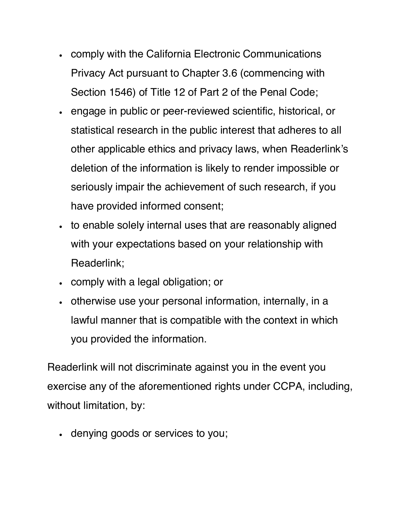- comply with the California Electronic Communications Privacy Act pursuant to Chapter 3.6 (commencing with Section 1546) of Title 12 of Part 2 of the Penal Code;
- engage in public or peer-reviewed scientific, historical, or statistical research in the public interest that adheres to all other applicable ethics and privacy laws, when Readerlink's deletion of the information is likely to render impossible or seriously impair the achievement of such research, if you have provided informed consent;
- to enable solely internal uses that are reasonably aligned with your expectations based on your relationship with Readerlink;
- comply with a legal obligation; or
- otherwise use your personal information, internally, in a lawful manner that is compatible with the context in which you provided the information.

Readerlink will not discriminate against you in the event you exercise any of the aforementioned rights under CCPA, including, without limitation, by:

• denying goods or services to you;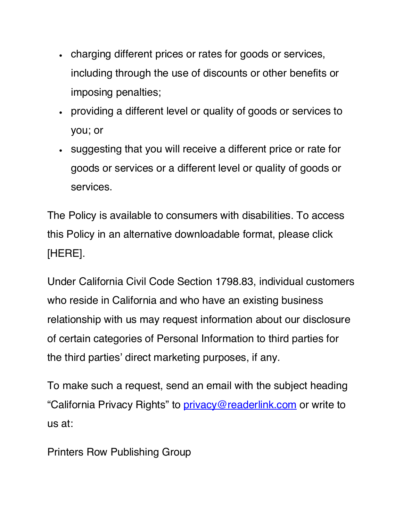- charging different prices or rates for goods or services, including through the use of discounts or other benefits or imposing penalties;
- providing a different level or quality of goods or services to you; or
- suggesting that you will receive a different price or rate for goods or services or a different level or quality of goods or services.

The Policy is available to consumers with disabilities. To access this Policy in an alternative downloadable format, please click [HERE].

Under California Civil Code Section 1798.83, individual customers who reside in California and who have an existing business relationship with us may request information about our disclosure of certain categories of Personal Information to third parties for the third parties' direct marketing purposes, if any.

To make such a request, send an email with the subject heading "California Privacy Rights" to privacy@readerlink.com or write to us at:

Printers Row Publishing Group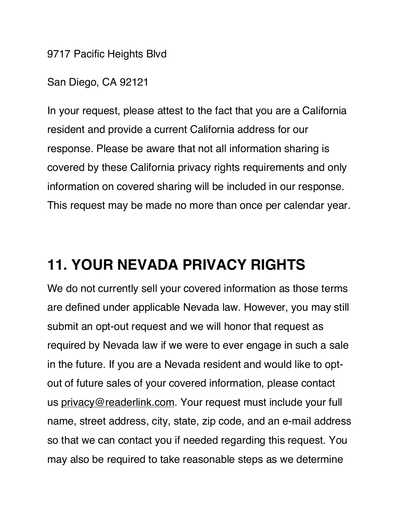9717 Pacific Heights Blvd

San Diego, CA 92121

In your request, please attest to the fact that you are a California resident and provide a current California address for our response. Please be aware that not all information sharing is covered by these California privacy rights requirements and only information on covered sharing will be included in our response. This request may be made no more than once per calendar year.

#### **11. YOUR NEVADA PRIVACY RIGHTS**

We do not currently sell your covered information as those terms are defined under applicable Nevada law. However, you may still submit an opt-out request and we will honor that request as required by Nevada law if we were to ever engage in such a sale in the future. If you are a Nevada resident and would like to optout of future sales of your covered information, please contact us privacy@readerlink.com. Your request must include your full name, street address, city, state, zip code, and an e-mail address so that we can contact you if needed regarding this request. You may also be required to take reasonable steps as we determine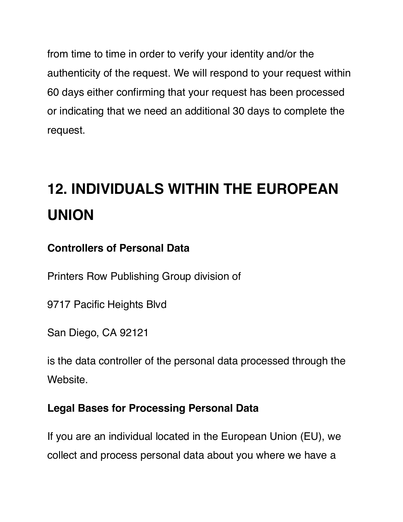from time to time in order to verify your identity and/or the authenticity of the request. We will respond to your request within 60 days either confirming that your request has been processed or indicating that we need an additional 30 days to complete the request.

## **12. INDIVIDUALS WITHIN THE EUROPEAN UNION**

#### **Controllers of Personal Data**

Printers Row Publishing Group division of

9717 Pacific Heights Blvd

San Diego, CA 92121

is the data controller of the personal data processed through the Website.

#### **Legal Bases for Processing Personal Data**

If you are an individual located in the European Union (EU), we collect and process personal data about you where we have a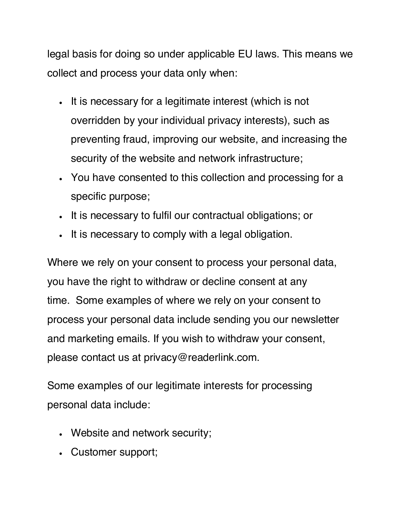legal basis for doing so under applicable EU laws. This means we collect and process your data only when:

- It is necessary for a legitimate interest (which is not overridden by your individual privacy interests), such as preventing fraud, improving our website, and increasing the security of the website and network infrastructure;
- You have consented to this collection and processing for a specific purpose;
- It is necessary to fulfil our contractual obligations; or
- It is necessary to comply with a legal obligation.

Where we rely on your consent to process your personal data, you have the right to withdraw or decline consent at any time. Some examples of where we rely on your consent to process your personal data include sending you our newsletter and marketing emails. If you wish to withdraw your consent, please contact us at privacy@readerlink.com.

Some examples of our legitimate interests for processing personal data include:

- Website and network security;
- Customer support;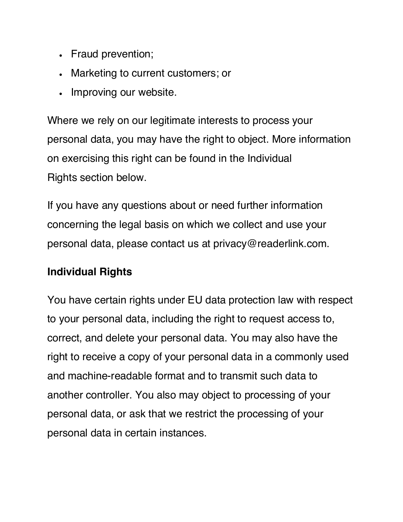- Fraud prevention;
- Marketing to current customers; or
- Improving our website.

Where we rely on our legitimate interests to process your personal data, you may have the right to object. More information on exercising this right can be found in the Individual Rights section below.

If you have any questions about or need further information concerning the legal basis on which we collect and use your personal data, please contact us at privacy@readerlink.com.

#### **Individual Rights**

You have certain rights under EU data protection law with respect to your personal data, including the right to request access to, correct, and delete your personal data. You may also have the right to receive a copy of your personal data in a commonly used and machine-readable format and to transmit such data to another controller. You also may object to processing of your personal data, or ask that we restrict the processing of your personal data in certain instances.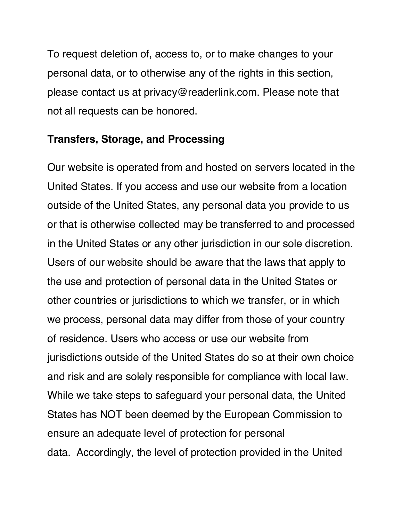To request deletion of, access to, or to make changes to your personal data, or to otherwise any of the rights in this section, please contact us at privacy@readerlink.com. Please note that not all requests can be honored.

#### **Transfers, Storage, and Processing**

Our website is operated from and hosted on servers located in the United States. If you access and use our website from a location outside of the United States, any personal data you provide to us or that is otherwise collected may be transferred to and processed in the United States or any other jurisdiction in our sole discretion. Users of our website should be aware that the laws that apply to the use and protection of personal data in the United States or other countries or jurisdictions to which we transfer, or in which we process, personal data may differ from those of your country of residence. Users who access or use our website from jurisdictions outside of the United States do so at their own choice and risk and are solely responsible for compliance with local law. While we take steps to safeguard your personal data, the United States has NOT been deemed by the European Commission to ensure an adequate level of protection for personal data. Accordingly, the level of protection provided in the United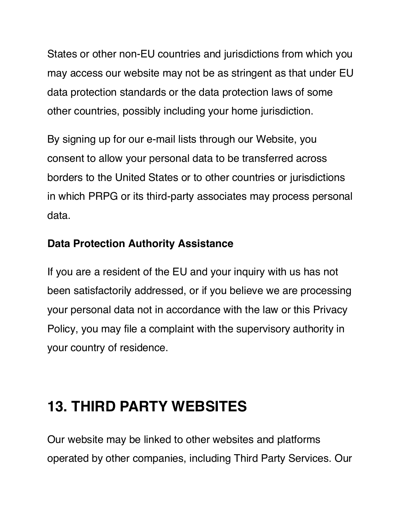States or other non-EU countries and jurisdictions from which you may access our website may not be as stringent as that under EU data protection standards or the data protection laws of some other countries, possibly including your home jurisdiction.

By signing up for our e-mail lists through our Website, you consent to allow your personal data to be transferred across borders to the United States or to other countries or jurisdictions in which PRPG or its third-party associates may process personal data.

#### **Data Protection Authority Assistance**

If you are a resident of the EU and your inquiry with us has not been satisfactorily addressed, or if you believe we are processing your personal data not in accordance with the law or this Privacy Policy, you may file a complaint with the supervisory authority in your country of residence.

### **13. THIRD PARTY WEBSITES**

Our website may be linked to other websites and platforms operated by other companies, including Third Party Services. Our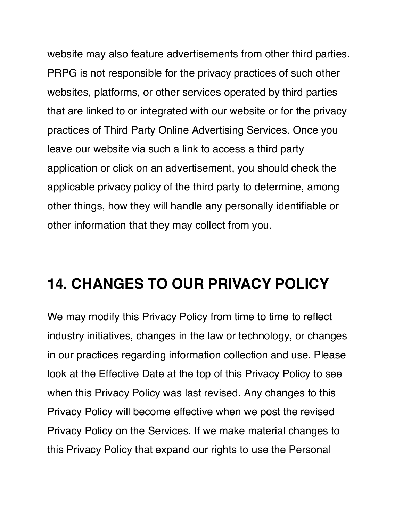website may also feature advertisements from other third parties. PRPG is not responsible for the privacy practices of such other websites, platforms, or other services operated by third parties that are linked to or integrated with our website or for the privacy practices of Third Party Online Advertising Services. Once you leave our website via such a link to access a third party application or click on an advertisement, you should check the applicable privacy policy of the third party to determine, among other things, how they will handle any personally identifiable or other information that they may collect from you.

#### **14. CHANGES TO OUR PRIVACY POLICY**

We may modify this Privacy Policy from time to time to reflect industry initiatives, changes in the law or technology, or changes in our practices regarding information collection and use. Please look at the Effective Date at the top of this Privacy Policy to see when this Privacy Policy was last revised. Any changes to this Privacy Policy will become effective when we post the revised Privacy Policy on the Services. If we make material changes to this Privacy Policy that expand our rights to use the Personal